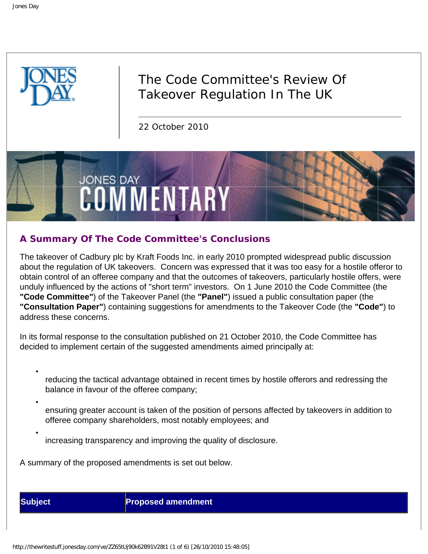

# The Code Committee's Review Of Takeover Regulation In The UK

22 October 2010



# **A Summary Of The Code Committee's Conclusions**

The takeover of Cadbury plc by Kraft Foods Inc. in early 2010 prompted widespread public discussion about the regulation of UK takeovers. Concern was expressed that it was too easy for a hostile offeror to obtain control of an offeree company and that the outcomes of takeovers, particularly hostile offers, were unduly influenced by the actions of "short term" investors. On 1 June 2010 the Code Committee (the **"Code Committee"**) of the Takeover Panel (the **"Panel"**) issued a public consultation paper (the **"Consultation Paper"**) containing suggestions for amendments to the Takeover Code (the **"Code"**) to address these concerns.

In its formal response to the consultation published on 21 October 2010, the Code Committee has decided to implement certain of the suggested amendments aimed principally at:

- reducing the tactical advantage obtained in recent times by hostile offerors and redressing the balance in favour of the offeree company;
- ensuring greater account is taken of the position of persons affected by takeovers in addition to offeree company shareholders, most notably employees; and
- increasing transparency and improving the quality of disclosure.

A summary of the proposed amendments is set out below.

●

●

**Subject Proposed amendment**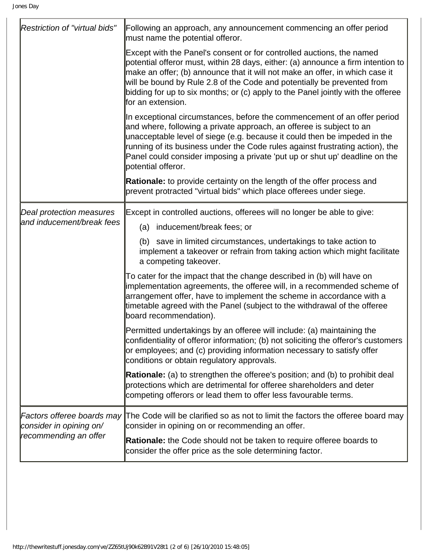| <b>Restriction of "virtual bids"</b>                         | Following an approach, any announcement commencing an offer period<br>must name the potential offeror.                                                                                                                                                                                                                                                                                                                         |
|--------------------------------------------------------------|--------------------------------------------------------------------------------------------------------------------------------------------------------------------------------------------------------------------------------------------------------------------------------------------------------------------------------------------------------------------------------------------------------------------------------|
|                                                              | Except with the Panel's consent or for controlled auctions, the named<br>potential offeror must, within 28 days, either: (a) announce a firm intention to<br>make an offer; (b) announce that it will not make an offer, in which case it<br>will be bound by Rule 2.8 of the Code and potentially be prevented from<br>bidding for up to six months; or (c) apply to the Panel jointly with the offeree<br>lfor an extension. |
|                                                              | In exceptional circumstances, before the commencement of an offer period<br>and where, following a private approach, an offeree is subject to an<br>unacceptable level of siege (e.g. because it could then be impeded in the<br>running of its business under the Code rules against frustrating action), the<br>Panel could consider imposing a private 'put up or shut up' deadline on the<br>potential offeror.            |
|                                                              | <b>Rationale:</b> to provide certainty on the length of the offer process and<br>prevent protracted "virtual bids" which place offerees under siege.                                                                                                                                                                                                                                                                           |
| <b>Deal protection measures</b><br>and inducement/break fees | Except in controlled auctions, offerees will no longer be able to give:<br>(a) inducement/break fees; or                                                                                                                                                                                                                                                                                                                       |
|                                                              | (b) save in limited circumstances, undertakings to take action to<br>implement a takeover or refrain from taking action which might facilitate<br>a competing takeover.                                                                                                                                                                                                                                                        |
|                                                              | To cater for the impact that the change described in (b) will have on<br>implementation agreements, the offeree will, in a recommended scheme of<br>arrangement offer, have to implement the scheme in accordance with a<br>timetable agreed with the Panel (subject to the withdrawal of the offeree<br>board recommendation).                                                                                                |
|                                                              | Permitted undertakings by an offeree will include: (a) maintaining the<br>confidentiality of offeror information; (b) not soliciting the offeror's customers<br>or employees; and (c) providing information necessary to satisfy offer<br>conditions or obtain regulatory approvals.                                                                                                                                           |
|                                                              | <b>Rationale:</b> (a) to strengthen the offeree's position; and (b) to prohibit deal<br>protections which are detrimental for offeree shareholders and deter<br>competing offerors or lead them to offer less favourable terms.                                                                                                                                                                                                |
| consider in opining on/<br>recommending an offer             | Factors offeree boards may The Code will be clarified so as not to limit the factors the offeree board may<br>consider in opining on or recommending an offer.                                                                                                                                                                                                                                                                 |
|                                                              | <b>Rationale:</b> the Code should not be taken to require offeree boards to<br>consider the offer price as the sole determining factor.                                                                                                                                                                                                                                                                                        |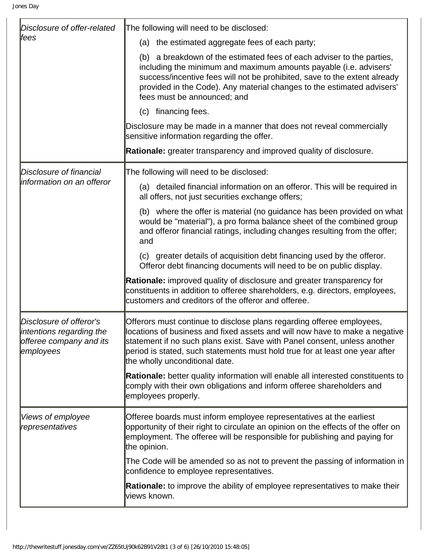| Disclosure of offer-related<br>lfees                                                        | The following will need to be disclosed:                                                                                                                                                                                                                                                                                                            |
|---------------------------------------------------------------------------------------------|-----------------------------------------------------------------------------------------------------------------------------------------------------------------------------------------------------------------------------------------------------------------------------------------------------------------------------------------------------|
|                                                                                             | (a) the estimated aggregate fees of each party;                                                                                                                                                                                                                                                                                                     |
|                                                                                             | (b) a breakdown of the estimated fees of each adviser to the parties,<br>including the minimum and maximum amounts payable (i.e. advisers'<br>success/incentive fees will not be prohibited, save to the extent already<br>provided in the Code). Any material changes to the estimated advisers'<br>fees must be announced; and                    |
|                                                                                             | (c) financing fees.                                                                                                                                                                                                                                                                                                                                 |
|                                                                                             | Disclosure may be made in a manner that does not reveal commercially<br>sensitive information regarding the offer.                                                                                                                                                                                                                                  |
|                                                                                             | Rationale: greater transparency and improved quality of disclosure.                                                                                                                                                                                                                                                                                 |
| Disclosure of financial<br>information on an offeror                                        | The following will need to be disclosed:                                                                                                                                                                                                                                                                                                            |
|                                                                                             | (a) detailed financial information on an offeror. This will be required in<br>all offers, not just securities exchange offers;                                                                                                                                                                                                                      |
|                                                                                             | (b) where the offer is material (no guidance has been provided on what<br>would be "material"), a pro forma balance sheet of the combined group<br>and offeror financial ratings, including changes resulting from the offer;<br>and                                                                                                                |
|                                                                                             | (c) greater details of acquisition debt financing used by the offeror.<br>Offeror debt financing documents will need to be on public display.                                                                                                                                                                                                       |
|                                                                                             | <b>Rationale:</b> improved quality of disclosure and greater transparency for<br>constituents in addition to offeree shareholders, e.g. directors, employees,<br>customers and creditors of the offeror and offeree.                                                                                                                                |
| Disclosure of offeror's<br>intentions regarding the<br>offeree company and its<br>employees | Offerors must continue to disclose plans regarding offeree employees,<br>locations of business and fixed assets and will now have to make a negative<br>statement if no such plans exist. Save with Panel consent, unless another<br>period is stated, such statements must hold true for at least one year after<br>the wholly unconditional date. |
|                                                                                             | <b>Rationale:</b> better quality information will enable all interested constituents to<br>comply with their own obligations and inform offeree shareholders and<br>employees properly.                                                                                                                                                             |
| Views of employee<br>representatives                                                        | Offeree boards must inform employee representatives at the earliest<br>opportunity of their right to circulate an opinion on the effects of the offer on<br>employment. The offeree will be responsible for publishing and paying for<br>the opinion.                                                                                               |
|                                                                                             | The Code will be amended so as not to prevent the passing of information in<br>confidence to employee representatives.                                                                                                                                                                                                                              |
|                                                                                             | <b>Rationale:</b> to improve the ability of employee representatives to make their<br>views known.                                                                                                                                                                                                                                                  |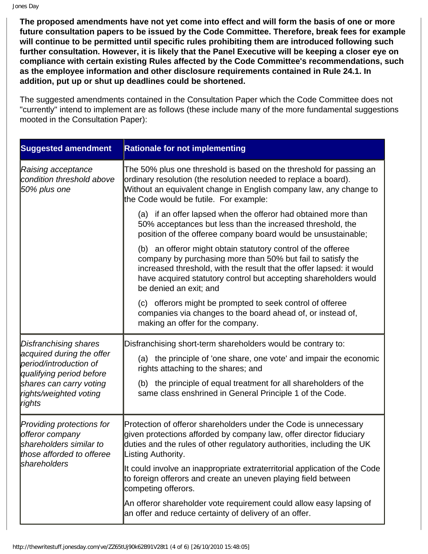Jones Day

**The proposed amendments have not yet come into effect and will form the basis of one or more future consultation papers to be issued by the Code Committee. Therefore, break fees for example will continue to be permitted until specific rules prohibiting them are introduced following such further consultation. However, it is likely that the Panel Executive will be keeping a closer eye on compliance with certain existing Rules affected by the Code Committee's recommendations, such as the employee information and other disclosure requirements contained in Rule 24.1. In addition, put up or shut up deadlines could be shortened.**

The suggested amendments contained in the Consultation Paper which the Code Committee does not "currently" intend to implement are as follows (these include many of the more fundamental suggestions mooted in the Consultation Paper):

| <b>Suggested amendment</b>                                                                                                                                              | <b>Rationale for not implementing</b>                                                                                                                                                                                                                                                                     |
|-------------------------------------------------------------------------------------------------------------------------------------------------------------------------|-----------------------------------------------------------------------------------------------------------------------------------------------------------------------------------------------------------------------------------------------------------------------------------------------------------|
| Raising acceptance<br>condition threshold above<br>50% plus one                                                                                                         | The 50% plus one threshold is based on the threshold for passing an<br>ordinary resolution (the resolution needed to replace a board).<br>Without an equivalent change in English company law, any change to<br>the Code would be futile. For example:                                                    |
|                                                                                                                                                                         | (a) if an offer lapsed when the offeror had obtained more than<br>50% acceptances but less than the increased threshold, the<br>position of the offeree company board would be unsustainable;                                                                                                             |
|                                                                                                                                                                         | (b) an offeror might obtain statutory control of the offeree<br>company by purchasing more than 50% but fail to satisfy the<br>increased threshold, with the result that the offer lapsed: it would<br>have acquired statutory control but accepting shareholders would<br>be denied an exit; and         |
|                                                                                                                                                                         | (c) offerors might be prompted to seek control of offeree<br>companies via changes to the board ahead of, or instead of,<br>making an offer for the company.                                                                                                                                              |
| Disfranchising shares<br>acquired during the offer<br>period/introduction of<br>qualifying period before<br>shares can carry voting<br>rights/weighted voting<br>rights | Disfranchising short-term shareholders would be contrary to:<br>(a) the principle of 'one share, one vote' and impair the economic<br>rights attaching to the shares; and<br>(b) the principle of equal treatment for all shareholders of the<br>same class enshrined in General Principle 1 of the Code. |
| Providing protections for<br>offeror company<br>shareholders similar to<br>those afforded to offeree<br>shareholders                                                    | Protection of offeror shareholders under the Code is unnecessary<br>given protections afforded by company law, offer director fiduciary<br>duties and the rules of other regulatory authorities, including the UK<br>Listing Authority.                                                                   |
|                                                                                                                                                                         | It could involve an inappropriate extraterritorial application of the Code<br>to foreign offerors and create an uneven playing field between<br>competing offerors.                                                                                                                                       |
|                                                                                                                                                                         | An offeror shareholder vote requirement could allow easy lapsing of<br>an offer and reduce certainty of delivery of an offer.                                                                                                                                                                             |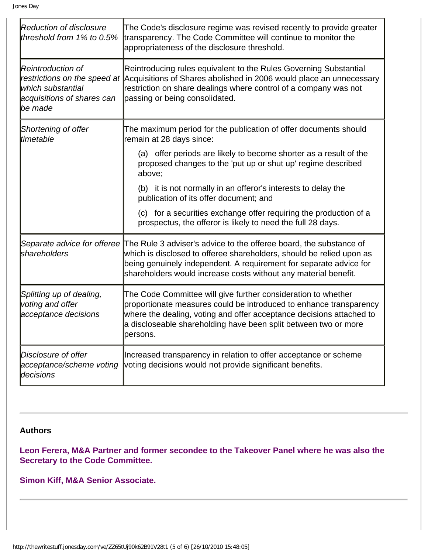| <b>Reduction of disclosure</b><br>threshold from 1% to 0.5%                      | The Code's disclosure regime was revised recently to provide greater<br>transparency. The Code Committee will continue to monitor the<br>appropriateness of the disclosure threshold.                                                                                                                           |
|----------------------------------------------------------------------------------|-----------------------------------------------------------------------------------------------------------------------------------------------------------------------------------------------------------------------------------------------------------------------------------------------------------------|
| Reintroduction of<br>which substantial<br>acquisitions of shares can<br>lbe made | Reintroducing rules equivalent to the Rules Governing Substantial<br>restrictions on the speed at Acquisitions of Shares abolished in 2006 would place an unnecessary<br>restriction on share dealings where control of a company was not<br>passing or being consolidated.                                     |
| Shortening of offer<br>timetable                                                 | The maximum period for the publication of offer documents should<br>remain at 28 days since:                                                                                                                                                                                                                    |
|                                                                                  | (a) offer periods are likely to become shorter as a result of the<br>proposed changes to the 'put up or shut up' regime described<br>above;                                                                                                                                                                     |
|                                                                                  | (b) it is not normally in an offeror's interests to delay the<br>publication of its offer document; and                                                                                                                                                                                                         |
|                                                                                  | (c) for a securities exchange offer requiring the production of a<br>prospectus, the offeror is likely to need the full 28 days.                                                                                                                                                                                |
| shareholders                                                                     | Separate advice for offeree The Rule 3 adviser's advice to the offeree board, the substance of<br>which is disclosed to offeree shareholders, should be relied upon as<br>being genuinely independent. A requirement for separate advice for<br>shareholders would increase costs without any material benefit. |
| Splitting up of dealing,<br>voting and offer<br>acceptance decisions             | The Code Committee will give further consideration to whether<br>proportionate measures could be introduced to enhance transparency<br>where the dealing, voting and offer acceptance decisions attached to<br>a discloseable shareholding have been split between two or more<br>persons.                      |
| Disclosure of offer<br>acceptance/scheme voting<br>decisions                     | Increased transparency in relation to offer acceptance or scheme<br>voting decisions would not provide significant benefits.                                                                                                                                                                                    |

# **Authors**

**Leon Ferera, M&A Partner and former secondee to the Takeover Panel where he was also the Secretary to the Code Committee.**

**Simon Kiff, M&A Senior Associate.**